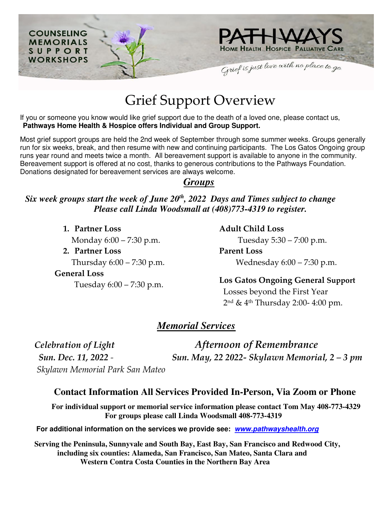

# Grief Support Overview

If you or someone you know would like grief support due to the death of a loved one, please contact us, **Pathways Home Health & Hospice offers Individual and Group Support.** 

Most grief support groups are held the 2nd week of September through some summer weeks. Groups generally run for six weeks, break, and then resume with new and continuing participants. The Los Gatos Ongoing group runs year round and meets twice a month. All bereavement support is available to anyone in the community. Bereavement support is offered at no cost, thanks to generous contributions to the Pathways Foundation. Donations designated for bereavement services are always welcome.

### *Groups*

### *Six week groups start the week of June 20th, 2022 Days and Times subject to change Please call Linda Woodsmall at (408)773-4319 to register.*

**1. Partner Loss** 

Monday 6:00 – 7:30 p.m.

**2. Partner Loss** 

Thursday 6:00 – 7:30 p.m.

**General Loss** 

Tuesday 6:00 – 7:30 p.m.

**Adult Child Loss**

Tuesday 5:30 – 7:00 p.m.

**Parent Loss** Wednesday 6:00 – 7:30 p.m.

**Los Gatos Ongoing General Support**  Losses beyond the First Year 2nd & 4th Thursday 2:00- 4:00 pm.

## *Memorial Services*

*Skylawn Memorial Park San Mateo*

*Celebration of Light Afternoon of Remembrance Sun. Dec. 11, 2022 - Sun. May, 22 2022- Skylawn Memorial, 2 – 3 pm*

### **Contact Information All Services Provided In-Person, Via Zoom or Phone**

**For individual support or memorial service information please contact Tom May 408-773-4329 For groups please call Linda Woodsmall 408-773-4319**

 **For additional information on the services we provide see: [www.pathwayshealth.org](http://www.pathwayshealth.org/)** 

**Serving the Peninsula, Sunnyvale and South Bay, East Bay, San Francisco and Redwood City, including six counties: Alameda, San Francisco, San Mateo, Santa Clara and Western Contra Costa Counties in the Northern Bay Area**